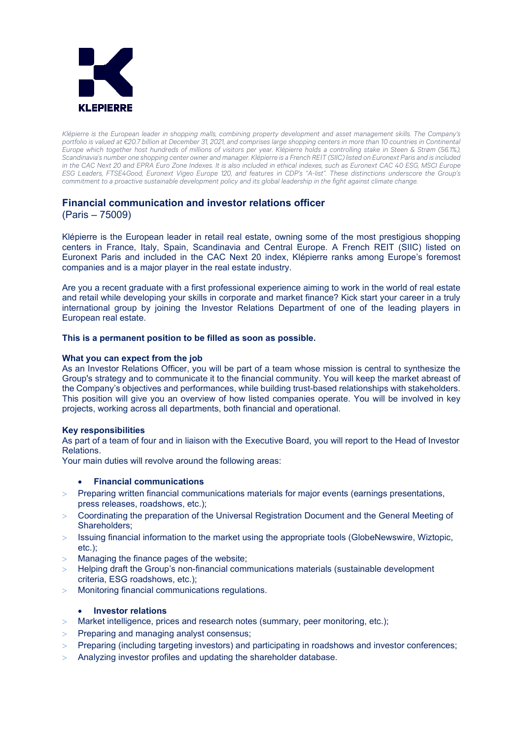

*Klépierre is the European leader in shopping malls, combining property development and asset management skills. The Company's portfolio is valued at €20.7 billion at December 31, 2021, and comprises large shopping centers in more than 10 countries in Continental Europe which together host hundreds of millions of visitors per year. Klépierre holds a controlling stake in Steen & Strøm (56.1%), Scandinavia's number one shopping center owner and manager. Klépierre is a French REIT (SIIC) listed on Euronext Paris and is included in the CAC Next 20 and EPRA Euro Zone Indexes. It is also included in ethical indexes, such as Euronext CAC 40 ESG, MSCI Europe ESG Leaders, FTSE4Good, Euronext Vigeo Europe 120, and features in CDP's "A-list". These distinctions underscore the Group's commitment to a proactive sustainable development policy and its global leadership in the fight against climate change.* 

# **Financial communication and investor relations officer**

(Paris – 75009)

Klépierre is the European leader in retail real estate, owning some of the most prestigious shopping centers in France, Italy, Spain, Scandinavia and Central Europe. A French REIT (SIIC) listed on Euronext Paris and included in the [CAC Next 20](https://en.wikipedia.org/wiki/CAC_Next_20) index, Klépierre ranks among Europe's foremost companies and is a major player in the real estate industry.

Are you a recent graduate with a first professional experience aiming to work in the world of real estate and retail while developing your skills in corporate and market finance? Kick start your career in a truly international group by joining the Investor Relations Department of one of the leading players in European real estate.

# **This is a permanent position to be filled as soon as possible.**

### **What you can expect from the job**

As an Investor Relations Officer, you will be part of a team whose mission is central to synthesize the Group's strategy and to communicate it to the financial community. You will keep the market abreast of the Company's objectives and performances, while building trust-based relationships with stakeholders. This position will give you an overview of how listed companies operate. You will be involved in key projects, working across all departments, both financial and operational.

### **Key responsibilities**

As part of a team of four and in liaison with the Executive Board, you will report to the Head of Investor Relations.

Your main duties will revolve around the following areas:

### • **Financial communications**

- > Preparing written financial communications materials for major events (earnings presentations, press releases, roadshows, etc.);
- > Coordinating the preparation of the Universal Registration Document and the General Meeting of Shareholders;
- Issuing financial information to the market using the appropriate tools (GlobeNewswire, Wiztopic, etc.);
- > Managing the finance pages of the website;
- > Helping draft the Group's non-financial communications materials (sustainable development criteria, ESG roadshows, etc.);
- > Monitoring financial communications regulations.

# • **Investor relations**

- > Market intelligence, prices and research notes (summary, peer monitoring, etc.);
- > Preparing and managing analyst consensus;
- > Preparing (including targeting investors) and participating in roadshows and investor conferences;
- > Analyzing investor profiles and updating the shareholder database.